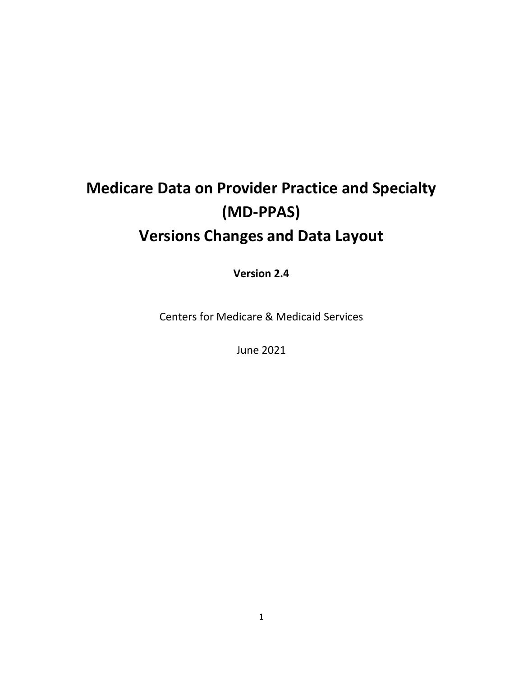## **Medicare Data on Provider Practice and Specialty (MD-PPAS) Versions Changes and Data Layout**

**Version 2.4**

Centers for Medicare & Medicaid Services

June 2021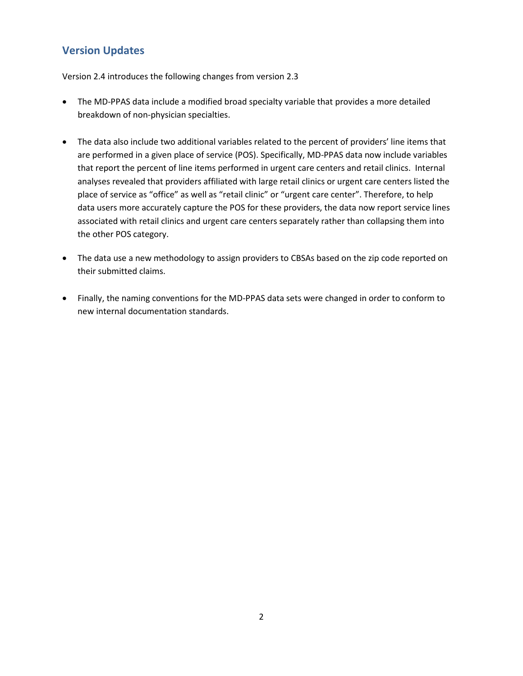## **Version Updates**

Version 2.4 introduces the following changes from version 2.3

- The MD-PPAS data include a modified broad specialty variable that provides a more detailed breakdown of non-physician specialties.
- The data also include two additional variables related to the percent of providers' line items that are performed in a given place of service (POS). Specifically, MD-PPAS data now include variables that report the percent of line items performed in urgent care centers and retail clinics. Internal analyses revealed that providers affiliated with large retail clinics or urgent care centers listed the place of service as "office" as well as "retail clinic" or "urgent care center". Therefore, to help data users more accurately capture the POS for these providers, the data now report service lines associated with retail clinics and urgent care centers separately rather than collapsing them into the other POS category.
- The data use a new methodology to assign providers to CBSAs based on the zip code reported on their submitted claims.
- Finally, the naming conventions for the MD-PPAS data sets were changed in order to conform to new internal documentation standards.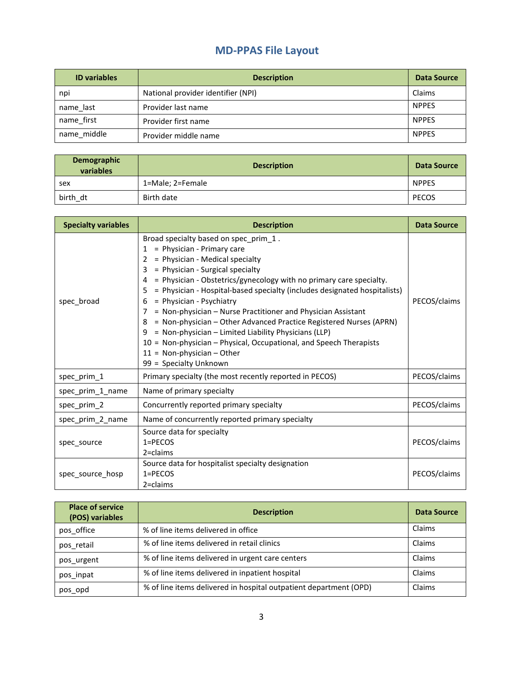## **MD-PPAS File Layout**

| <b>ID</b> variables | <b>Description</b>                 | Data Source  |
|---------------------|------------------------------------|--------------|
| npi                 | National provider identifier (NPI) | Claims       |
| name_last           | Provider last name                 | <b>NPPES</b> |
| name first          | Provider first name                | <b>NPPES</b> |
| name middle         | Provider middle name               | <b>NPPES</b> |

| Demographic<br>variables | <b>Description</b> | Data Source  |
|--------------------------|--------------------|--------------|
| sex                      | 1=Male; 2=Female   | <b>NPPES</b> |
| birth dt                 | Birth date         | <b>PECOS</b> |

| <b>Specialty variables</b> | <b>Description</b>                                                                                                                                                                                                                                                                                                                                                                                                                                                                                                                                                                                                                                                                                    | <b>Data Source</b> |
|----------------------------|-------------------------------------------------------------------------------------------------------------------------------------------------------------------------------------------------------------------------------------------------------------------------------------------------------------------------------------------------------------------------------------------------------------------------------------------------------------------------------------------------------------------------------------------------------------------------------------------------------------------------------------------------------------------------------------------------------|--------------------|
| spec_broad                 | Broad specialty based on spec_prim_1.<br>= Physician - Primary care<br>1<br>= Physician - Medical specialty<br>2<br>= Physician - Surgical specialty<br>3<br>= Physician - Obstetrics/gynecology with no primary care specialty.<br>4<br>= Physician - Hospital-based specialty (includes designated hospitalists)<br>5<br>= Physician - Psychiatry<br>6<br>= Non-physician – Nurse Practitioner and Physician Assistant<br>7<br>= Non-physician - Other Advanced Practice Registered Nurses (APRN)<br>8<br>= Non-physician - Limited Liability Physicians (LLP)<br>9<br>10 = Non-physician - Physical, Occupational, and Speech Therapists<br>$11 = Non-physician - Other$<br>99 = Specialty Unknown | PECOS/claims       |
| spec_prim_1                | Primary specialty (the most recently reported in PECOS)                                                                                                                                                                                                                                                                                                                                                                                                                                                                                                                                                                                                                                               | PECOS/claims       |
| spec_prim_1_name           | Name of primary specialty                                                                                                                                                                                                                                                                                                                                                                                                                                                                                                                                                                                                                                                                             |                    |
| spec_prim_2                | Concurrently reported primary specialty                                                                                                                                                                                                                                                                                                                                                                                                                                                                                                                                                                                                                                                               | PECOS/claims       |
| spec_prim_2_name           | Name of concurrently reported primary specialty                                                                                                                                                                                                                                                                                                                                                                                                                                                                                                                                                                                                                                                       |                    |
| spec source                | Source data for specialty<br>$1 = PECOS$<br>$2 = claims$                                                                                                                                                                                                                                                                                                                                                                                                                                                                                                                                                                                                                                              | PECOS/claims       |
| spec_source_hosp           | Source data for hospitalist specialty designation<br>$1 = PECOS$<br>2=claims                                                                                                                                                                                                                                                                                                                                                                                                                                                                                                                                                                                                                          | PECOS/claims       |

| <b>Place of service</b><br>(POS) variables | <b>Description</b>                                                | Data Source |
|--------------------------------------------|-------------------------------------------------------------------|-------------|
| pos office                                 | % of line items delivered in office                               | Claims      |
| pos retail                                 | % of line items delivered in retail clinics                       | Claims      |
| pos urgent                                 | % of line items delivered in urgent care centers                  | Claims      |
| pos inpat                                  | % of line items delivered in inpatient hospital                   | Claims      |
| pos opd                                    | % of line items delivered in hospital outpatient department (OPD) | Claims      |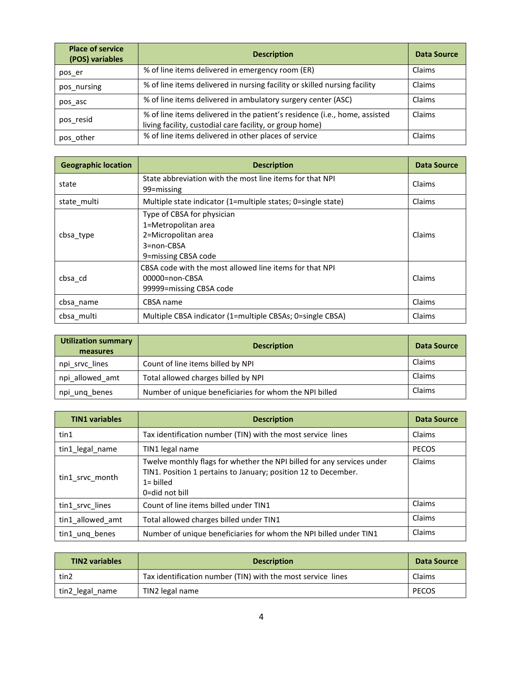| <b>Place of service</b><br>(POS) variables | <b>Description</b>                                                                                                                     | Data Source |
|--------------------------------------------|----------------------------------------------------------------------------------------------------------------------------------------|-------------|
| pos er                                     | % of line items delivered in emergency room (ER)                                                                                       | Claims      |
| pos nursing                                | % of line items delivered in nursing facility or skilled nursing facility                                                              | Claims      |
| pos asc                                    | % of line items delivered in ambulatory surgery center (ASC)                                                                           | Claims      |
| pos resid                                  | % of line items delivered in the patient's residence (i.e., home, assisted<br>living facility, custodial care facility, or group home) | Claims      |
| pos other                                  | % of line items delivered in other places of service                                                                                   | Claims      |

| <b>Geographic location</b> | <b>Description</b>                                                                                            | <b>Data Source</b> |
|----------------------------|---------------------------------------------------------------------------------------------------------------|--------------------|
| state                      | State abbreviation with the most line items for that NPI<br>99=missing                                        | Claims             |
| state multi                | Multiple state indicator (1=multiple states; 0=single state)                                                  | Claims             |
| cbsa_type                  | Type of CBSA for physician<br>1=Metropolitan area<br>2=Micropolitan area<br>3=non-CBSA<br>9=missing CBSA code | Claims             |
| cbsa cd                    | CBSA code with the most allowed line items for that NPI<br>00000=non-CBSA<br>99999=missing CBSA code          | Claims             |
| cbsa name                  | CBSA name                                                                                                     | Claims             |
| cbsa multi                 | Multiple CBSA indicator (1=multiple CBSAs; 0=single CBSA)                                                     | Claims             |

| Utilization summary<br>measures | <b>Description</b>                                     | Data Source |
|---------------------------------|--------------------------------------------------------|-------------|
| npi_srvc_lines                  | Count of line items billed by NPI                      | Claims      |
| npi allowed amt                 | Total allowed charges billed by NPI                    | Claims      |
| npi ung benes                   | Number of unique beneficiaries for whom the NPI billed | Claims      |

| <b>TIN1</b> variables | <b>Description</b>                                                                                                                                                                | Data Source  |
|-----------------------|-----------------------------------------------------------------------------------------------------------------------------------------------------------------------------------|--------------|
| tin1                  | Tax identification number (TIN) with the most service lines                                                                                                                       | Claims       |
| tin1_legal_name       | TIN1 legal name                                                                                                                                                                   | <b>PECOS</b> |
| tin1_srvc_month       | Twelve monthly flags for whether the NPI billed for any services under<br>TIN1. Position 1 pertains to January; position 12 to December.<br>$1 = \text{billed}$<br>0=did not bill | Claims       |
| tin1 srvc lines       | Count of line items billed under TIN1                                                                                                                                             | Claims       |
| tin1 allowed amt      | Total allowed charges billed under TIN1                                                                                                                                           | Claims       |
| tin1 ung benes        | Number of unique beneficiaries for whom the NPI billed under TIN1                                                                                                                 | Claims       |

| <b>TIN2 variables</b> | <b>Description</b>                                          | Data Source  |
|-----------------------|-------------------------------------------------------------|--------------|
| tin2                  | Tax identification number (TIN) with the most service lines | Claims       |
| tin2_legal_name       | TIN2 legal name                                             | <b>PECOS</b> |